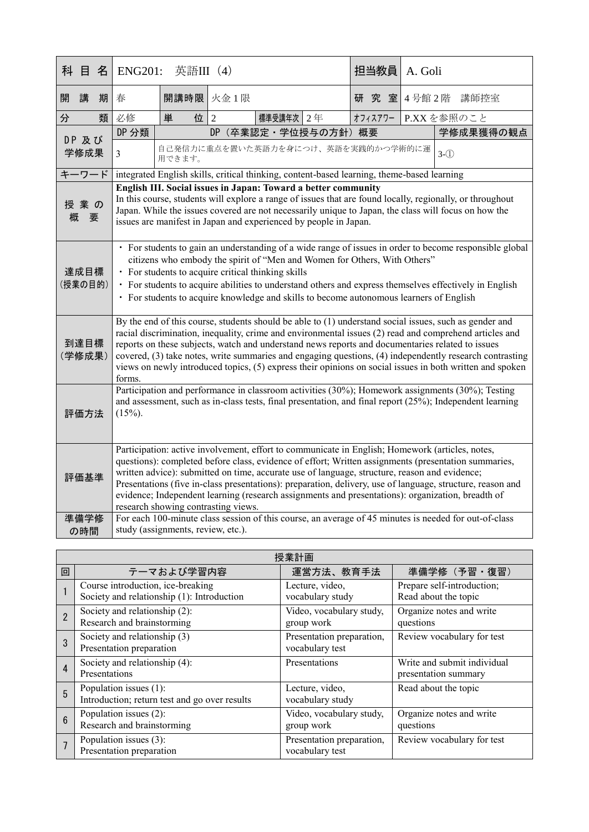|                 | 科 目  | 名                                                                                                                                                                                                                                                                                                                                                                                                                                                                                                                                                                       | <b>ENG201:</b><br>英語III (4)                                                                                                                                                                                                                                                                                                                                                                                                                                                                                                                                        |                                              |                        |           |  | 担当教員    | A. Goli |            |  |           |
|-----------------|------|-------------------------------------------------------------------------------------------------------------------------------------------------------------------------------------------------------------------------------------------------------------------------------------------------------------------------------------------------------------------------------------------------------------------------------------------------------------------------------------------------------------------------------------------------------------------------|--------------------------------------------------------------------------------------------------------------------------------------------------------------------------------------------------------------------------------------------------------------------------------------------------------------------------------------------------------------------------------------------------------------------------------------------------------------------------------------------------------------------------------------------------------------------|----------------------------------------------|------------------------|-----------|--|---------|---------|------------|--|-----------|
| 開               | 講    | 期                                                                                                                                                                                                                                                                                                                                                                                                                                                                                                                                                                       | 春                                                                                                                                                                                                                                                                                                                                                                                                                                                                                                                                                                  | 開講時限                                         | 火金1限                   |           |  | 研       | 究 室     | 4号館2階 講師控室 |  |           |
| 分               |      | 類                                                                                                                                                                                                                                                                                                                                                                                                                                                                                                                                                                       | 必修                                                                                                                                                                                                                                                                                                                                                                                                                                                                                                                                                                 | 単<br>位                                       | $\overline{2}$         | 標準受講年次 2年 |  | オフィスアワー |         | P.XXを参照のこと |  |           |
|                 |      |                                                                                                                                                                                                                                                                                                                                                                                                                                                                                                                                                                         | DP 分類                                                                                                                                                                                                                                                                                                                                                                                                                                                                                                                                                              |                                              | DP<br>(卒業認定·学位授与の方針)概要 |           |  |         |         |            |  | 学修成果獲得の観点 |
| DP 及び<br>学修成果   |      |                                                                                                                                                                                                                                                                                                                                                                                                                                                                                                                                                                         | $\mathfrak{Z}$                                                                                                                                                                                                                                                                                                                                                                                                                                                                                                                                                     | 自己発信力に重点を置いた英語力を身につけ、英語を実践的かつ学術的に運<br>用できます。 |                        |           |  |         |         | $3-(1)$    |  |           |
| キーワード           |      | integrated English skills, critical thinking, content-based learning, theme-based learning                                                                                                                                                                                                                                                                                                                                                                                                                                                                              |                                                                                                                                                                                                                                                                                                                                                                                                                                                                                                                                                                    |                                              |                        |           |  |         |         |            |  |           |
| 授業の<br>概<br>要   |      |                                                                                                                                                                                                                                                                                                                                                                                                                                                                                                                                                                         | English III. Social issues in Japan: Toward a better community<br>In this course, students will explore a range of issues that are found locally, regionally, or throughout<br>Japan. While the issues covered are not necessarily unique to Japan, the class will focus on how the<br>issues are manifest in Japan and experienced by people in Japan.                                                                                                                                                                                                            |                                              |                        |           |  |         |         |            |  |           |
| 達成目標<br>(授業の目的) |      |                                                                                                                                                                                                                                                                                                                                                                                                                                                                                                                                                                         | · For students to gain an understanding of a wide range of issues in order to become responsible global<br>citizens who embody the spirit of "Men and Women for Others, With Others"<br>• For students to acquire critical thinking skills<br>• For students to acquire abilities to understand others and express themselves effectively in English<br>• For students to acquire knowledge and skills to become autonomous learners of English                                                                                                                    |                                              |                        |           |  |         |         |            |  |           |
|                 |      | By the end of this course, students should be able to (1) understand social issues, such as gender and<br>racial discrimination, inequality, crime and environmental issues (2) read and comprehend articles and<br>到達目標<br>reports on these subjects, watch and understand news reports and documentaries related to issues<br>(学修成果)<br>covered, (3) take notes, write summaries and engaging questions, (4) independently research contrasting<br>views on newly introduced topics, (5) express their opinions on social issues in both written and spoken<br>forms. |                                                                                                                                                                                                                                                                                                                                                                                                                                                                                                                                                                    |                                              |                        |           |  |         |         |            |  |           |
|                 | 評価方法 | Participation and performance in classroom activities (30%); Homework assignments (30%); Testing<br>and assessment, such as in-class tests, final presentation, and final report (25%); Independent learning<br>$(15%)$ .                                                                                                                                                                                                                                                                                                                                               |                                                                                                                                                                                                                                                                                                                                                                                                                                                                                                                                                                    |                                              |                        |           |  |         |         |            |  |           |
|                 | 評価基準 |                                                                                                                                                                                                                                                                                                                                                                                                                                                                                                                                                                         | Participation: active involvement, effort to communicate in English; Homework (articles, notes,<br>questions): completed before class, evidence of effort; Written assignments (presentation summaries,<br>written advice): submitted on time, accurate use of language, structure, reason and evidence;<br>Presentations (five in-class presentations): preparation, delivery, use of language, structure, reason and<br>evidence; Independent learning (research assignments and presentations): organization, breadth of<br>research showing contrasting views. |                                              |                        |           |  |         |         |            |  |           |
| 準備学修<br>の時間     |      |                                                                                                                                                                                                                                                                                                                                                                                                                                                                                                                                                                         | For each 100-minute class session of this course, an average of 45 minutes is needed for out-of-class<br>study (assignments, review, etc.).                                                                                                                                                                                                                                                                                                                                                                                                                        |                                              |                        |           |  |         |         |            |  |           |

| 授業計画           |                                                                                 |                                              |                                                     |  |  |
|----------------|---------------------------------------------------------------------------------|----------------------------------------------|-----------------------------------------------------|--|--|
| 回              | テーマおよび学習内容                                                                      | 運営方法、教育手法                                    | 準備学修(予習・復習)                                         |  |  |
|                | Course introduction, ice-breaking<br>Society and relationship (1): Introduction | Lecture, video,<br>vocabulary study          | Prepare self-introduction;<br>Read about the topic  |  |  |
| $\overline{2}$ | Society and relationship (2):<br>Research and brainstorming                     | Video, vocabulary study,<br>group work       | Organize notes and write<br>questions               |  |  |
| 3              | Society and relationship (3)<br>Presentation preparation                        | Presentation preparation,<br>vocabulary test | Review vocabulary for test                          |  |  |
| 4              | Society and relationship (4):<br>Presentations                                  | Presentations                                | Write and submit individual<br>presentation summary |  |  |
| 5              | Population issues (1):<br>Introduction; return test and go over results         | Lecture, video,<br>vocabulary study          | Read about the topic                                |  |  |
| $\overline{6}$ | Population issues (2):<br>Research and brainstorming                            | Video, vocabulary study,<br>group work       | Organize notes and write<br>questions               |  |  |
|                | Population issues (3):<br>Presentation preparation                              | Presentation preparation,<br>vocabulary test | Review vocabulary for test                          |  |  |